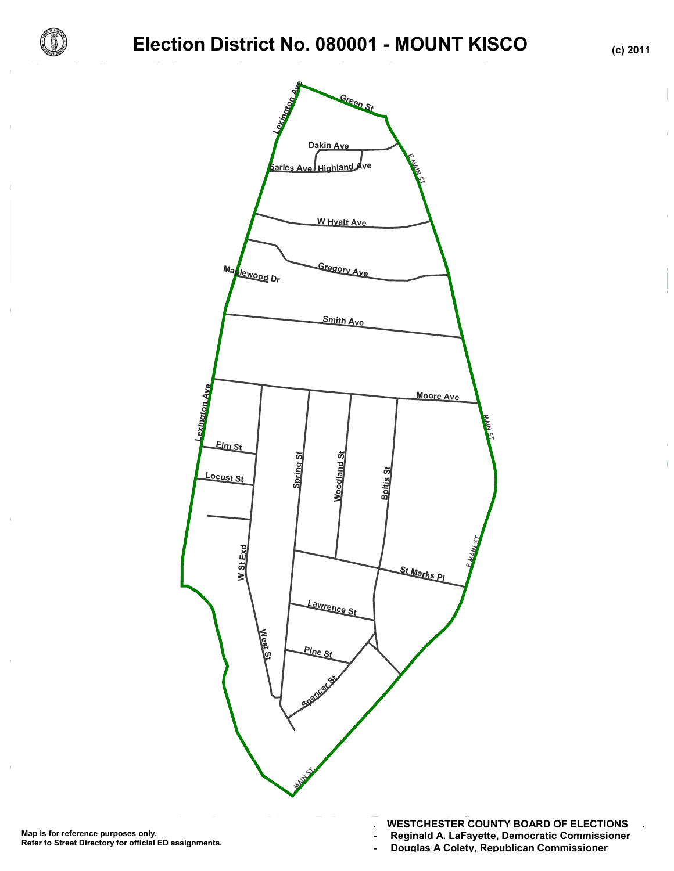

# **Election District No. 080001 - MOUNT KISCO (c) 2011**



**. WESTCHESTER COUNTY BOARD OF ELECTIONS .**

- **Reginald A. LaFayette, Democratic Commissioner -**
- **Douglas A Colety, Republican Commissioner -**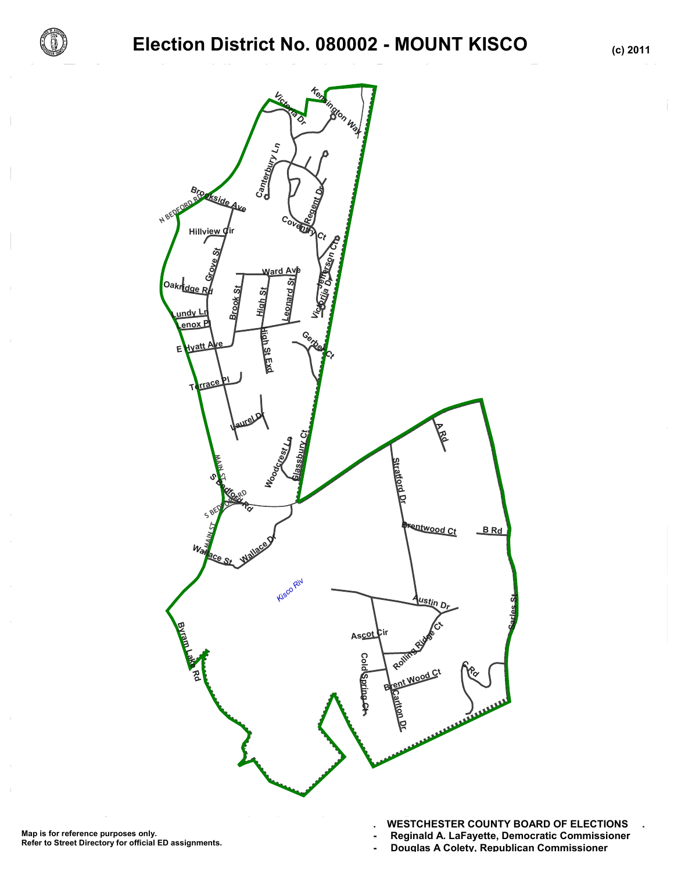

# **Election District No. 080002 - MOUNT KISCO (c) 2011**



- **Reginald A. LaFayette, Democratic Commissioner -**
- **Douglas A Colety, Republican Commissioner -**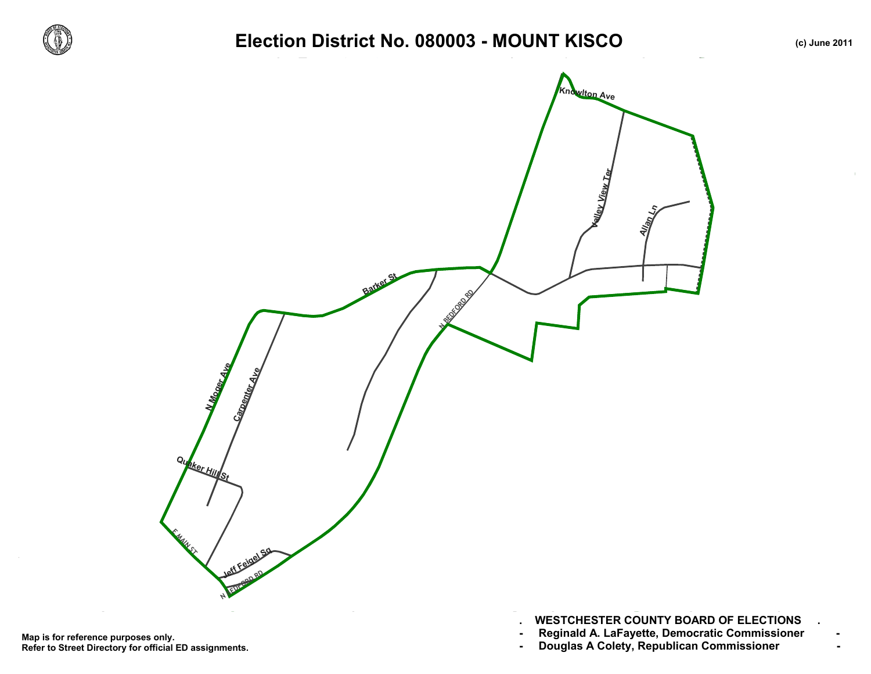

 $\sim$ 

### Election District No. 080003 - MOUNT KISCO *(c) June 2011*



- **. WESTCHESTER COUNTY BOARD OF ELECTIONS .**
- 
-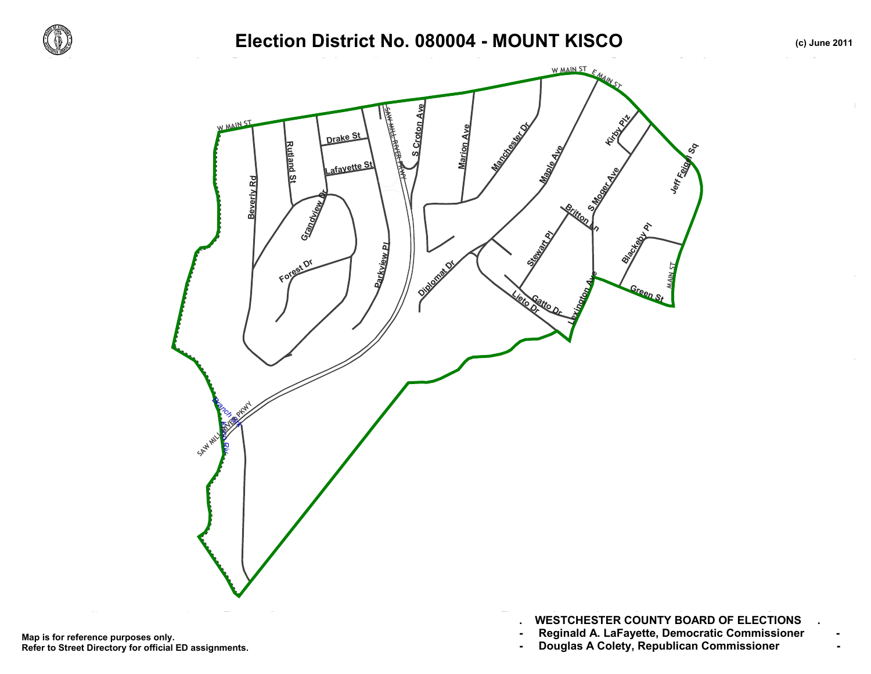

## Election District No. 080004 - MOUNT KISCO *(c) June 2011*



- **. WESTCHESTER COUNTY BOARD OF ELECTIONS .**
- 
-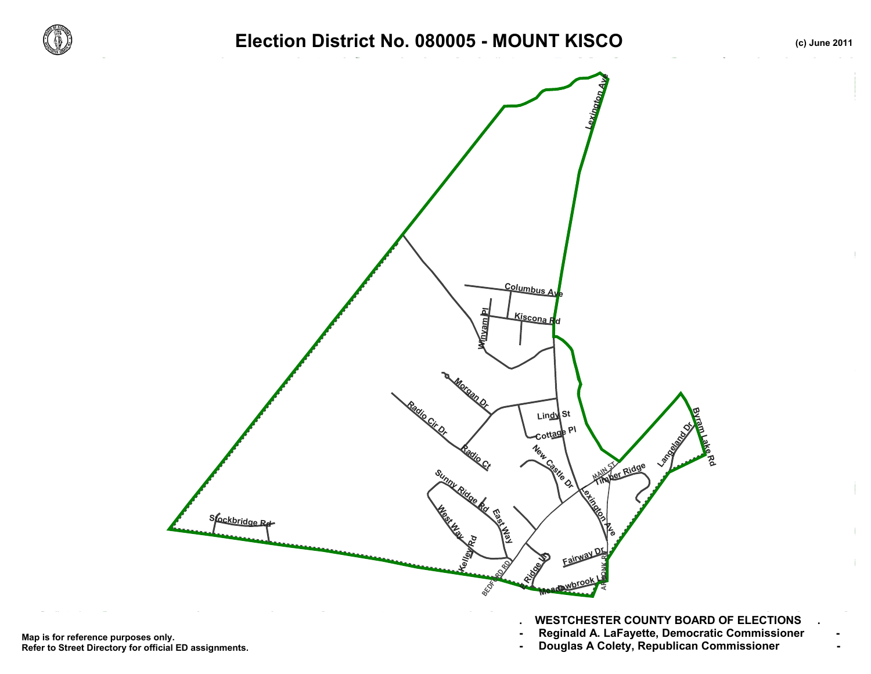

### Election District No. 080005 - MOUNT KISCO *(c) June 2011*



- Map is for reference purposes only. Reginald A. LaFayette, Democratic Commissioner<br>Refer to Street Directory for official ED assignments. Douglas A Colety, Republican Com **Refer to Street Directory for official ED assignments.**
- **. WESTCHESTER COUNTY BOARD OF ELECTIONS .**
- -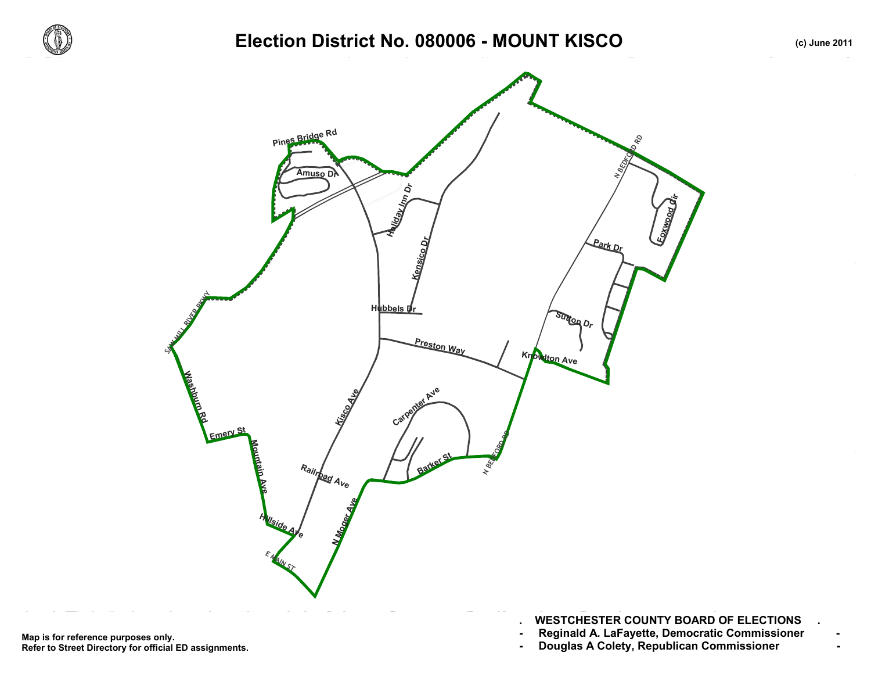

## Election District No. 080006 - MOUNT KISCO *(c) June 2011*



- **. WESTCHESTER COUNTY BOARD OF ELECTIONS .**
- 
-